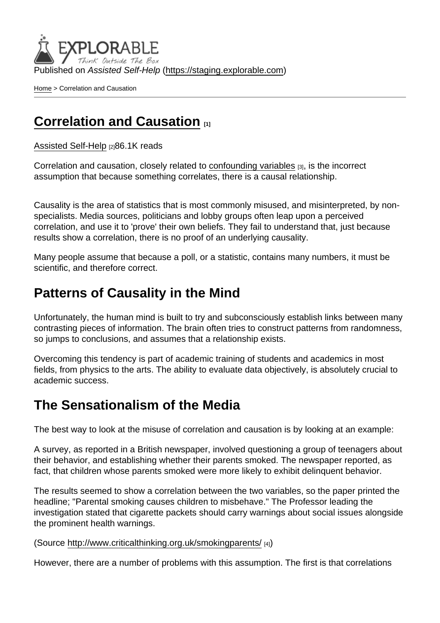Published on Assisted Self-Help [\(https://staging.explorable.com](https://staging.explorable.com))

[Home](https://staging.explorable.com/en) > Correlation and Causation

## [Correlation and Causation](https://staging.explorable.com/en/correlation-and-causation) **111**

[Assisted Self-Help](https://staging.explorable.com/en) [2]86.1K reads

Correlation and causation, closely related to [confounding variables](https://staging.explorable.com/confounding-variables) [3], is the incorrect assumption that because something correlates, there is a causal relationship.

Causality is the area of statistics that is most commonly misused, and misinterpreted, by nonspecialists. Media sources, politicians and lobby groups often leap upon a perceived correlation, and use it to 'prove' their own beliefs. They fail to understand that, just because results show a correlation, there is no proof of an underlying causality.

Many people assume that because a poll, or a statistic, contains many numbers, it must be scientific, and therefore correct.

### Patterns of Causality in the Mind

Unfortunately, the human mind is built to try and subconsciously establish links between many contrasting pieces of information. The brain often tries to construct patterns from randomness, so jumps to conclusions, and assumes that a relationship exists.

Overcoming this tendency is part of academic training of students and academics in most fields, from physics to the arts. The ability to evaluate data objectively, is absolutely crucial to academic success.

### The Sensationalism of the Media

The best way to look at the misuse of correlation and causation is by looking at an example:

A survey, as reported in a British newspaper, involved questioning a group of teenagers about their behavior, and establishing whether their parents smoked. The newspaper reported, as fact, that children whose parents smoked were more likely to exhibit delinquent behavior.

The results seemed to show a correlation between the two variables, so the paper printed the headline; "Parental smoking causes children to misbehave." The Professor leading the investigation stated that cigarette packets should carry warnings about social issues alongside the prominent health warnings.

#### (Source<http://www.criticalthinking.org.uk/smokingparents/> [4])

However, there are a number of problems with this assumption. The first is that correlations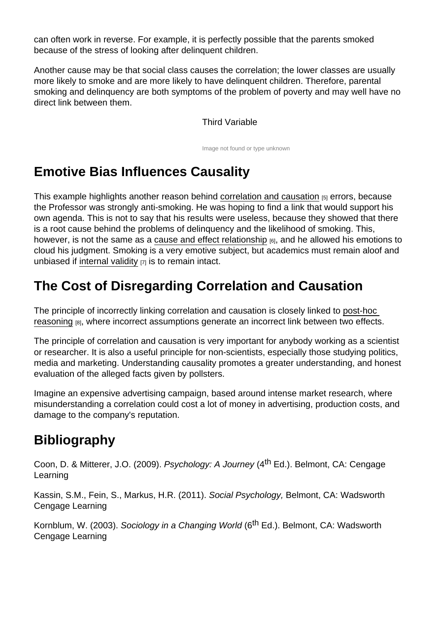can often work in reverse. For example, it is perfectly possible that the parents smoked because of the stress of looking after delinquent children.

Another cause may be that social class causes the correlation; the lower classes are usually more likely to smoke and are more likely to have delinquent children. Therefore, parental smoking and delinquency are both symptoms of the problem of poverty and may well have no direct link between them.

#### Third Variable

Image not found or type unknown

# Emotive Bias Influences Causality

This example highlights another reason behind [correlation and causation](http://en.wikipedia.org/wiki/Correlation_does_not_imply_causation) [5] errors, because the Professor was strongly anti-smoking. He was hoping to find a link that would support his own agenda. This is not to say that his results were useless, because they showed that there is a root cause behind the problems of delinquency and the likelihood of smoking. This, however, is not the same as a [cause and effect relationship](https://staging.explorable.com/cause-and-effect)  $_{[6]}$ , and he allowed his emotions to cloud his judgment. Smoking is a very emotive subject, but academics must remain aloof and unbiased if [internal validity](https://staging.explorable.com/internal-validity)  $[7]$  is to remain intact.

## The Cost of Disregarding Correlation and Causation

The principle of incorrectly linking correlation and causation is closely linked to [post-hoc](https://staging.explorable.com/post-hoc-reasoning)  [reasoning](https://staging.explorable.com/post-hoc-reasoning) [8], where incorrect assumptions generate an incorrect link between two effects.

The principle of correlation and causation is very important for anybody working as a scientist or researcher. It is also a useful principle for non-scientists, especially those studying politics, media and marketing. Understanding causality promotes a greater understanding, and honest evaluation of the alleged facts given by pollsters.

Imagine an expensive advertising campaign, based around intense market research, where misunderstanding a correlation could cost a lot of money in advertising, production costs, and damage to the company's reputation.

## **Bibliography**

Coon, D. & Mitterer, J.O. (2009). Psychology: A Journey (4<sup>th</sup> Ed.). Belmont, CA: Cengage Learning

Kassin, S.M., Fein, S., Markus, H.R. (2011). Social Psychology, Belmont, CA: Wadsworth Cengage Learning

Kornblum, W. (2003). Sociology in a Changing World (6<sup>th</sup> Ed.). Belmont, CA: Wadsworth Cengage Learning